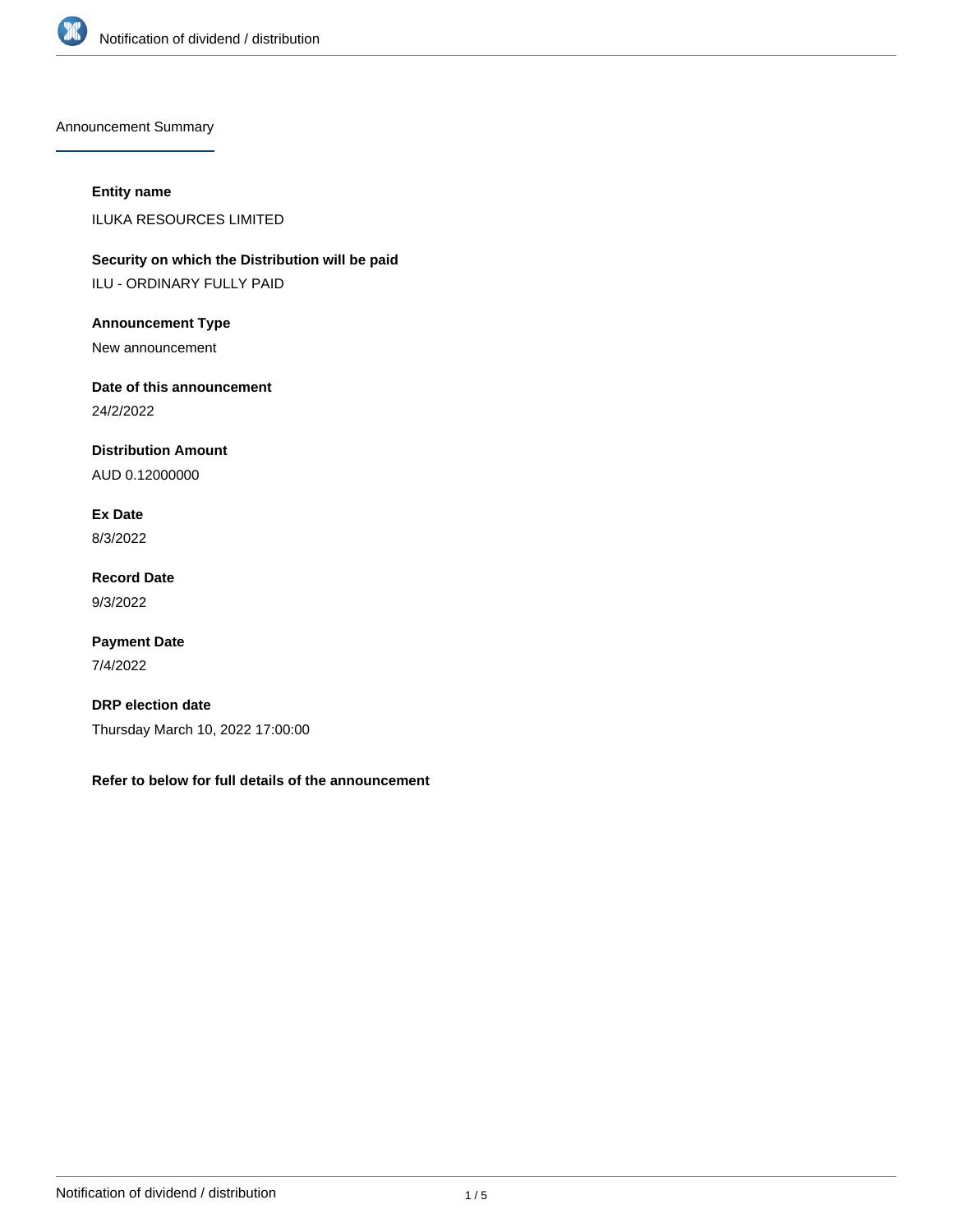

Announcement Summary

### **Entity name**

ILUKA RESOURCES LIMITED

**Security on which the Distribution will be paid** ILU - ORDINARY FULLY PAID

**Announcement Type**

New announcement

**Date of this announcement**

24/2/2022

**Distribution Amount**

AUD 0.12000000

**Ex Date** 8/3/2022

**Record Date** 9/3/2022

**Payment Date** 7/4/2022

**DRP election date** Thursday March 10, 2022 17:00:00

**Refer to below for full details of the announcement**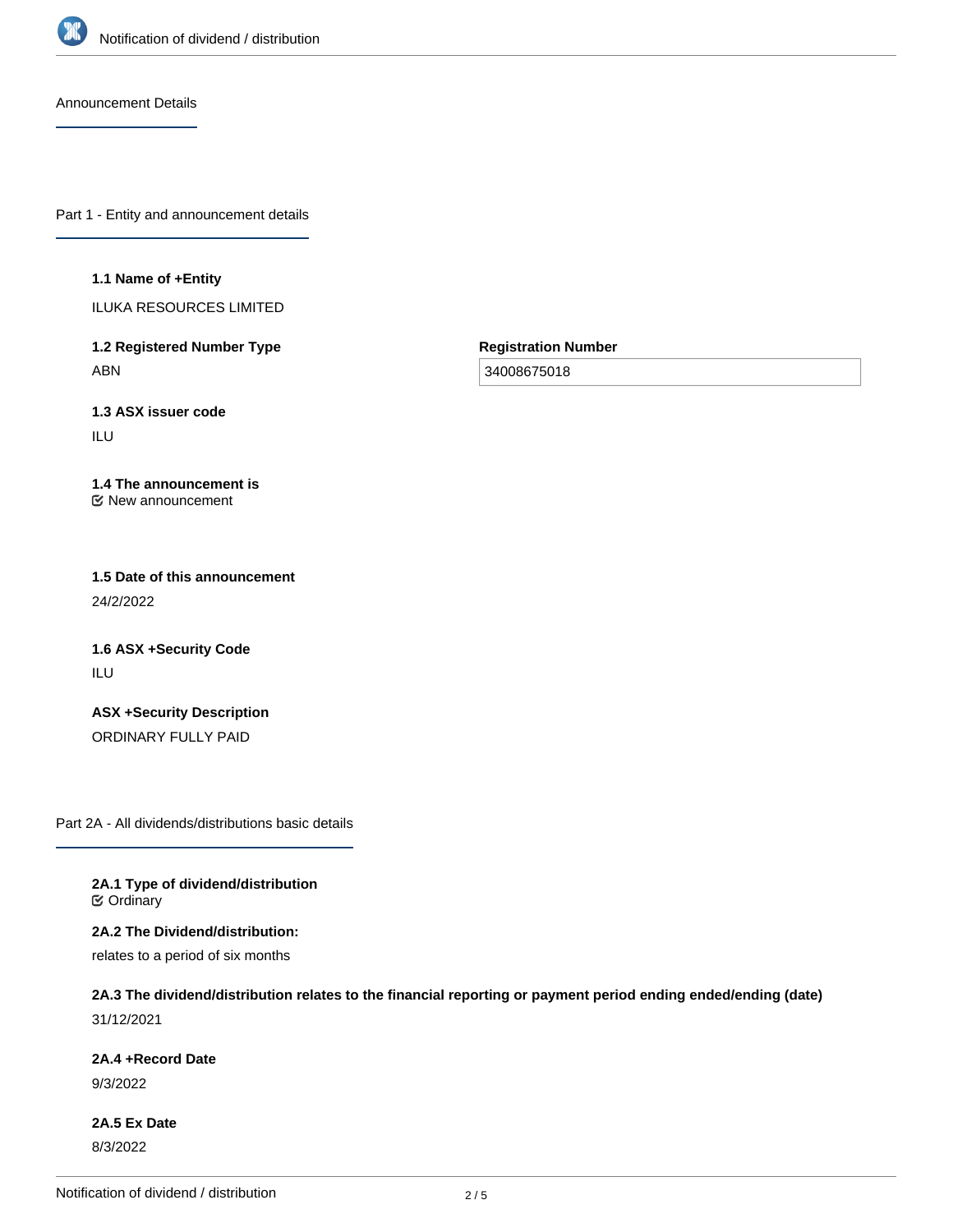

Announcement Details

Part 1 - Entity and announcement details

#### **1.1 Name of +Entity**

ILUKA RESOURCES LIMITED

**1.2 Registered Number Type** ABN

**Registration Number**

34008675018

**1.3 ASX issuer code**

ILU

#### **1.4 The announcement is** New announcement

**1.5 Date of this announcement** 24/2/2022

**1.6 ASX +Security Code** ILU

**ASX +Security Description** ORDINARY FULLY PAID

Part 2A - All dividends/distributions basic details

**2A.1 Type of dividend/distribution C** Ordinary

**2A.2 The Dividend/distribution:**

relates to a period of six months

# **2A.3 The dividend/distribution relates to the financial reporting or payment period ending ended/ending (date)**

31/12/2021

**2A.4 +Record Date**

9/3/2022

**2A.5 Ex Date** 8/3/2022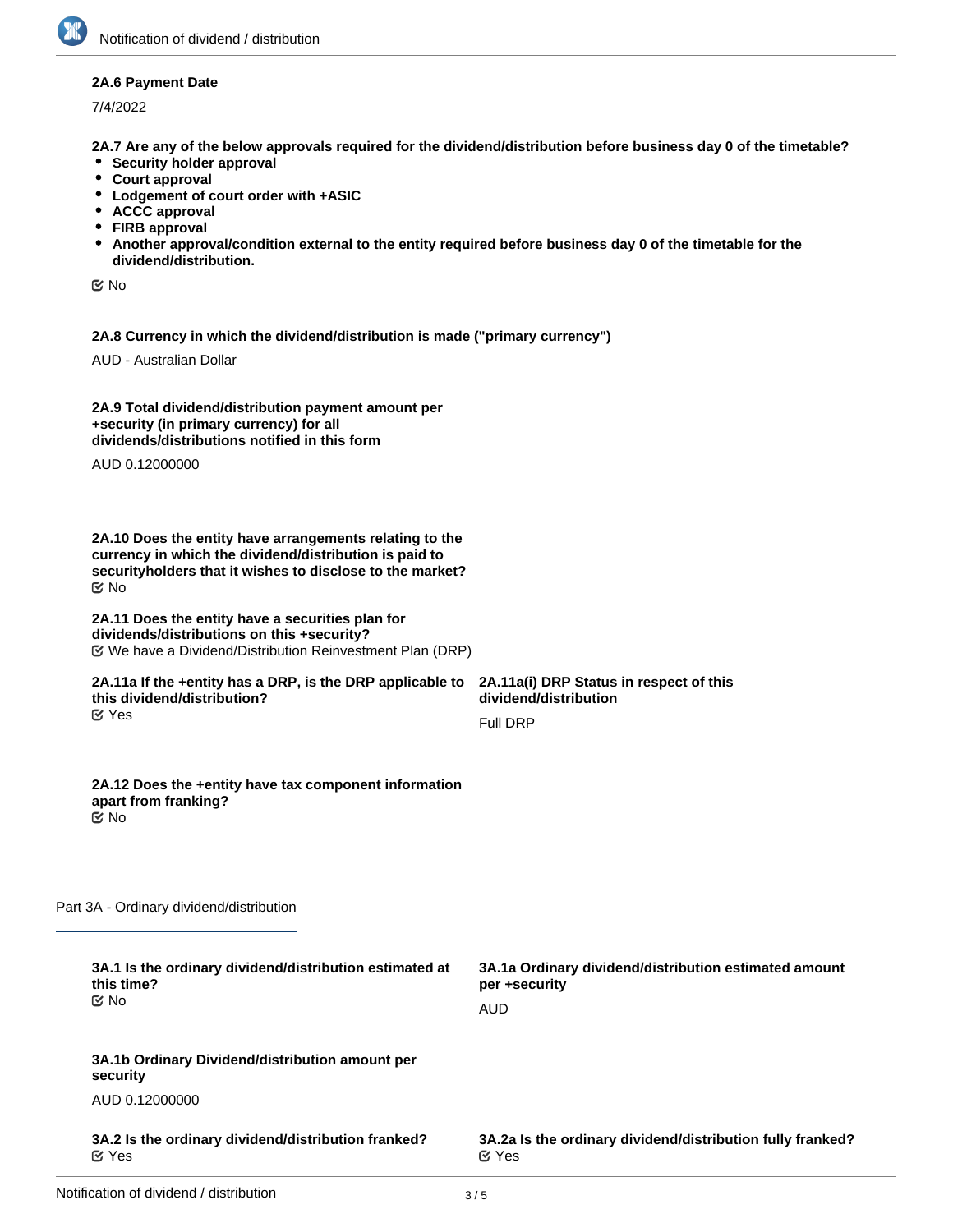#### **2A.6 Payment Date**

7/4/2022

**2A.7 Are any of the below approvals required for the dividend/distribution before business day 0 of the timetable?**

- **•** Security holder approval
- **Court approval**
- **Lodgement of court order with +ASIC**
- **ACCC approval**
- **FIRB approval**
- **Another approval/condition external to the entity required before business day 0 of the timetable for the dividend/distribution.**

No

**2A.8 Currency in which the dividend/distribution is made ("primary currency")**

AUD - Australian Dollar

| 2A.9 Total dividend/distribution payment amount per |  |
|-----------------------------------------------------|--|
| +security (in primary currency) for all             |  |
| dividends/distributions notified in this form       |  |

AUD 0.12000000

**2A.10 Does the entity have arrangements relating to the currency in which the dividend/distribution is paid to securityholders that it wishes to disclose to the market?** No

#### **2A.11 Does the entity have a securities plan for dividends/distributions on this +security?** We have a Dividend/Distribution Reinvestment Plan (DRP)

#### **2A.11a If the +entity has a DRP, is the DRP applicable to this dividend/distribution?** Yes

**2A.11a(i) DRP Status in respect of this dividend/distribution** Full DRP

**2A.12 Does the +entity have tax component information apart from franking?** No

Part 3A - Ordinary dividend/distribution

| AUD                                                                        |
|----------------------------------------------------------------------------|
|                                                                            |
|                                                                            |
| 3A.2a Is the ordinary dividend/distribution fully franked?<br>$\alpha$ Yes |
|                                                                            |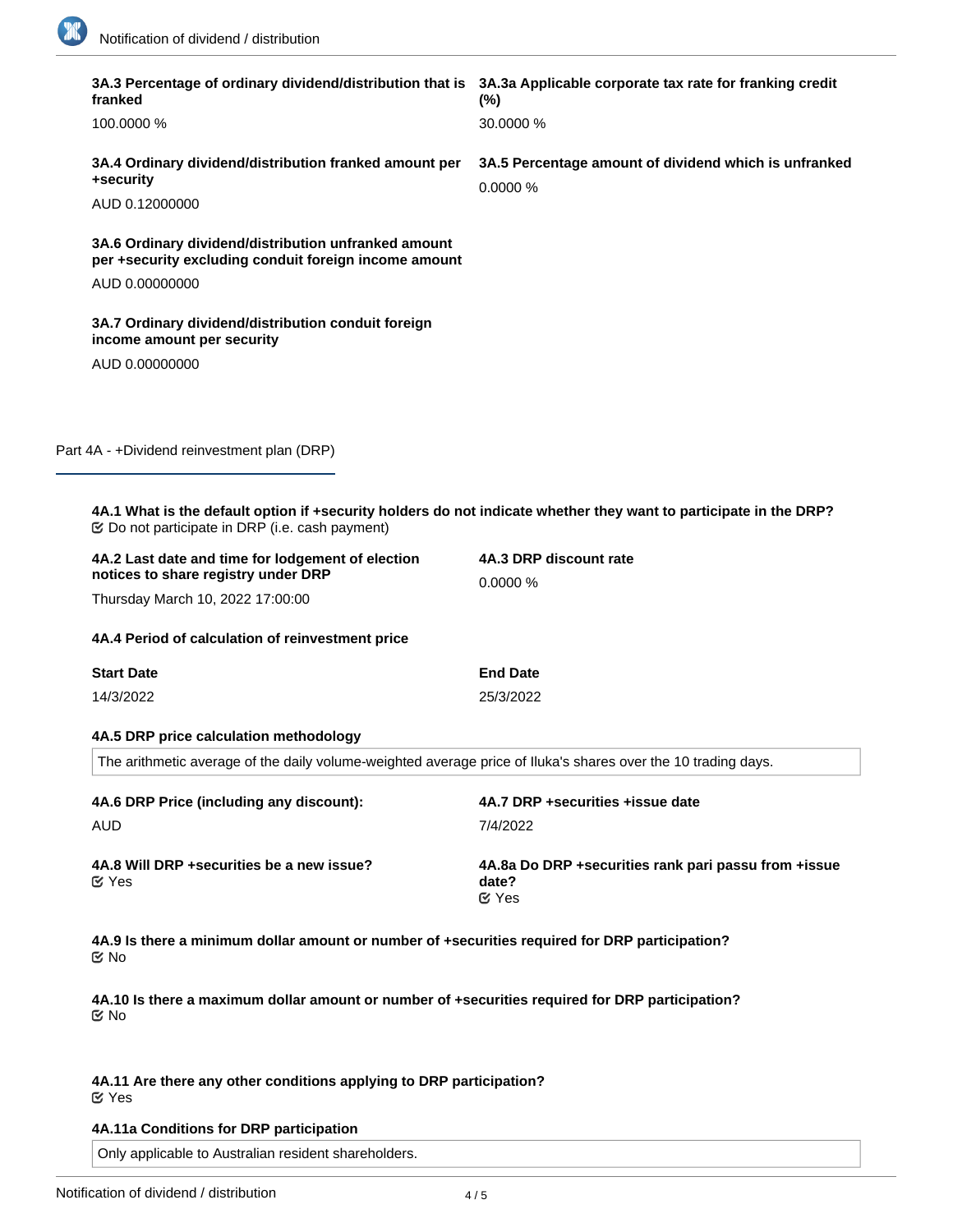1

|  | 3A.3 Percentage of ordinary dividend/distribution that is 3A.3a Applicable corporate tax rate for franking credit<br>franked                                                                                      | $(\% )$                                                                        |  |
|--|-------------------------------------------------------------------------------------------------------------------------------------------------------------------------------------------------------------------|--------------------------------------------------------------------------------|--|
|  | 100.0000 %                                                                                                                                                                                                        | 30.0000 %                                                                      |  |
|  | 3A.4 Ordinary dividend/distribution franked amount per<br>+security                                                                                                                                               | 3A.5 Percentage amount of dividend which is unfranked<br>0.0000%               |  |
|  | AUD 0.12000000                                                                                                                                                                                                    |                                                                                |  |
|  | 3A.6 Ordinary dividend/distribution unfranked amount<br>per +security excluding conduit foreign income amount                                                                                                     |                                                                                |  |
|  | AUD 0.00000000                                                                                                                                                                                                    |                                                                                |  |
|  | 3A.7 Ordinary dividend/distribution conduit foreign<br>income amount per security                                                                                                                                 |                                                                                |  |
|  | AUD 0.00000000                                                                                                                                                                                                    |                                                                                |  |
|  |                                                                                                                                                                                                                   |                                                                                |  |
|  | Part 4A - +Dividend reinvestment plan (DRP)                                                                                                                                                                       |                                                                                |  |
|  |                                                                                                                                                                                                                   |                                                                                |  |
|  | 4A.1 What is the default option if +security holders do not indicate whether they want to participate in the DRP?<br><b> ©</b> Do not participate in DRP (i.e. cash payment)                                      |                                                                                |  |
|  | 4A.2 Last date and time for lodgement of election<br>notices to share registry under DRP                                                                                                                          | 4A.3 DRP discount rate<br>0.0000 %                                             |  |
|  | Thursday March 10, 2022 17:00:00                                                                                                                                                                                  |                                                                                |  |
|  | 4A.4 Period of calculation of reinvestment price                                                                                                                                                                  |                                                                                |  |
|  | <b>Start Date</b>                                                                                                                                                                                                 | <b>End Date</b>                                                                |  |
|  | 14/3/2022                                                                                                                                                                                                         | 25/3/2022                                                                      |  |
|  | 4A.5 DRP price calculation methodology                                                                                                                                                                            |                                                                                |  |
|  | The arithmetic average of the daily volume-weighted average price of Iluka's shares over the 10 trading days.                                                                                                     |                                                                                |  |
|  | 4A.6 DRP Price (including any discount):                                                                                                                                                                          | 4A.7 DRP +securities +issue date                                               |  |
|  | AUD                                                                                                                                                                                                               | 7/4/2022                                                                       |  |
|  | 4A.8 Will DRP +securities be a new issue?<br>$\mathfrak{C}$ Yes                                                                                                                                                   | 4A.8a Do DRP +securities rank pari passu from +issue<br>date?<br><b></b> ∉ Yes |  |
|  | 4A.9 Is there a minimum dollar amount or number of +securities required for DRP participation?<br>M No<br>4A.10 Is there a maximum dollar amount or number of +securities required for DRP participation?<br>ত No |                                                                                |  |
|  |                                                                                                                                                                                                                   |                                                                                |  |
|  | 4A.11 Are there any other conditions applying to DRP participation?<br><b>⊘</b> Yes                                                                                                                               |                                                                                |  |

## **4A.11a Conditions for DRP participation**

Only applicable to Australian resident shareholders.